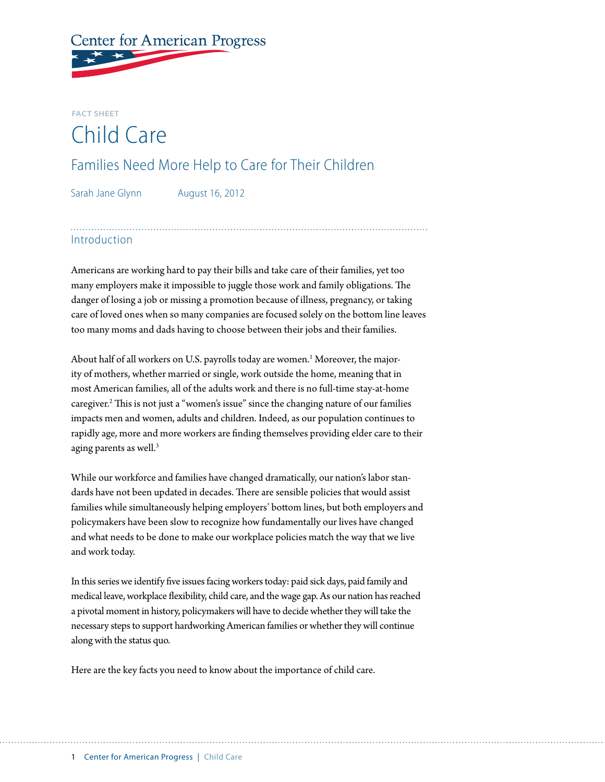# **Center for American Progress**

## **Fact Sheet** Child Care

### Families Need More Help to Care for Their Children

Sarah Jane Glynn August 16, 2012

#### Introduction

Americans are working hard to pay their bills and take care of their families, yet too many employers make it impossible to juggle those work and family obligations. The danger of losing a job or missing a promotion because of illness, pregnancy, or taking care of loved ones when so many companies are focused solely on the bottom line leaves too many moms and dads having to choose between their jobs and their families.

About half of all workers on U.S. payrolls today are women. $^{\rm 1}$  Moreover, the majority of mothers, whether married or single, work outside the home, meaning that in most American families, all of the adults work and there is no full-time stay-at-home caregiver.<sup>2</sup> This is not just a "women's issue" since the changing nature of our families impacts men and women, adults and children. Indeed, as our population continues to rapidly age, more and more workers are finding themselves providing elder care to their aging parents as well.<sup>3</sup>

While our workforce and families have changed dramatically, our nation's labor standards have not been updated in decades. There are sensible policies that would assist families while simultaneously helping employers' bottom lines, but both employers and policymakers have been slow to recognize how fundamentally our lives have changed and what needs to be done to make our workplace policies match the way that we live and work today.

In this series we identify five issues facing workers today: [paid sick days](http://www.americanprogress.org/issues/2012/08/paidsickdays_factsheet.html), [paid family and](http://www.americanprogress.org/issues/2012/08/paidleave_factsheet.html)  [medical leave](http://www.americanprogress.org/issues/2012/08/paidleave_factsheet.html), [workplace flexibility](http://www.americanprogress.org/issues/2012/08/flexibility_factsheet.html), [child care](http://www.americanprogress.org/issues/2012/08/childcare_factsheet.html), and the [wage gap.](http://www.americanprogress.org/issues/2012/08/wagegap_factsheet.html) As our nation has reached a pivotal moment in history, policymakers will have to decide whether they will take the necessary steps to support hardworking American families or whether they will continue along with the status quo.

Here are the key facts you need to know about the importance of child care.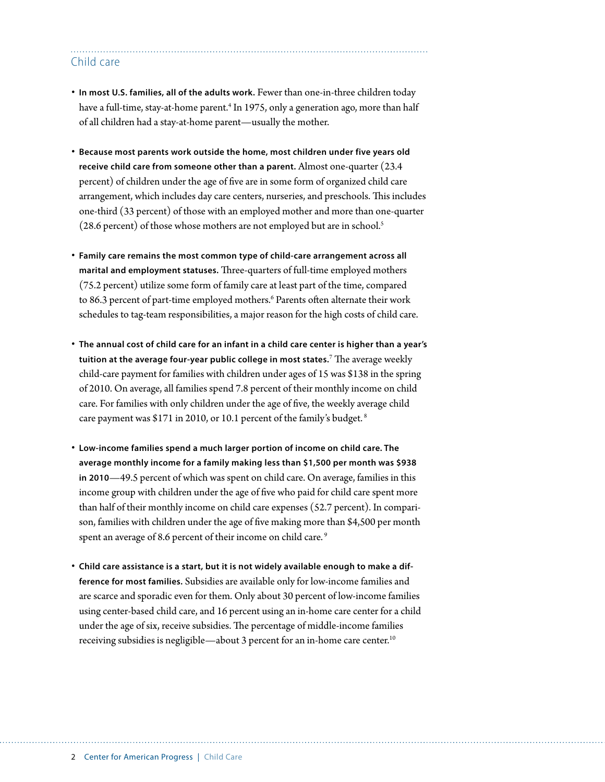#### Child care

- **In most U.S. families, all of the adults work.** Fewer than one-in-three children today have a full-time, stay-at-home parent.<sup>4</sup> In 1975, only a generation ago, more than half of all children had a stay-at-home parent—usually the mother.
- **Because most parents work outside the home, most children under five years old receive child care from someone other than a parent.** Almost one-quarter (23.4 percent) of children under the age of five are in some form of organized child care arrangement, which includes day care centers, nurseries, and preschools. This includes one-third (33 percent) of those with an employed mother and more than one-quarter (28.6 percent) of those whose mothers are not employed but are in school.<sup>5</sup>
- **Family care remains the most common type of child-care arrangement across all marital and employment statuses.** Three-quarters of full-time employed mothers (75.2 percent) utilize some form of family care at least part of the time, compared to 86.3 percent of part-time employed mothers.<sup>6</sup> Parents often alternate their work schedules to tag-team responsibilities, a major reason for the high costs of child care.
- **The annual cost of child care for an infant in a child care center is higher than a year's tuition at the average four-year public college in most states.**<sup>7</sup> The average weekly child-care payment for families with children under ages of 15 was \$138 in the spring of 2010. On average, all families spend 7.8 percent of their monthly income on child care. For families with only children under the age of five, the weekly average child care payment was \$171 in 2010, or 10.1 percent of the family's budget. 8
- **Low-income families spend a much larger portion of income on child care. The average monthly income for a family making less than \$1,500 per month was \$938 in 2010**—49.5 percent of which was spent on child care. On average, families in this income group with children under the age of five who paid for child care spent more than half of their monthly income on child care expenses (52.7 percent). In comparison, families with children under the age of five making more than \$4,500 per month spent an average of 8.6 percent of their income on child care.<sup>9</sup>
- **Child care assistance is a start, but it is not widely available enough to make a difference for most families.** Subsidies are available only for low-income families and are scarce and sporadic even for them. Only about 30 percent of low-income families using center-based child care, and 16 percent using an in-home care center for a child under the age of six, receive subsidies. The percentage of middle-income families receiving subsidies is negligible—about 3 percent for an in-home care center.<sup>10</sup>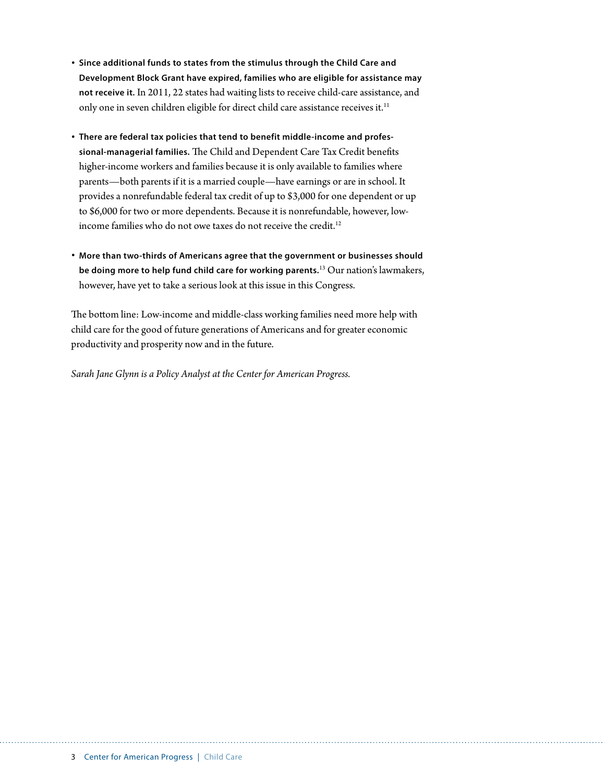- **Since additional funds to states from the stimulus through the Child Care and Development Block Grant have expired, families who are eligible for assistance may not receive it.** In 2011, 22 states had waiting lists to receive child-care assistance, and only one in seven children eligible for direct child care assistance receives it.<sup>11</sup>
- **There are federal tax policies that tend to benefit middle-income and professional-managerial families.** The Child and Dependent Care Tax Credit benefits higher-income workers and families because it is only available to families where parents—both parents if it is a married couple—have earnings or are in school. It provides a nonrefundable federal tax credit of up to \$3,000 for one dependent or up to \$6,000 for two or more dependents. Because it is nonrefundable, however, lowincome families who do not owe taxes do not receive the credit.<sup>12</sup>
- **More than two-thirds of Americans agree that the government or businesses should be doing more to help fund child care for working parents.**13 Our nation's lawmakers, however, have yet to take a serious look at this issue in this Congress.

The bottom line: Low-income and middle-class working families need more help with child care for the good of future generations of Americans and for greater economic productivity and prosperity now and in the future.

*Sarah Jane Glynn is a Policy Analyst at the Center for American Progress.*